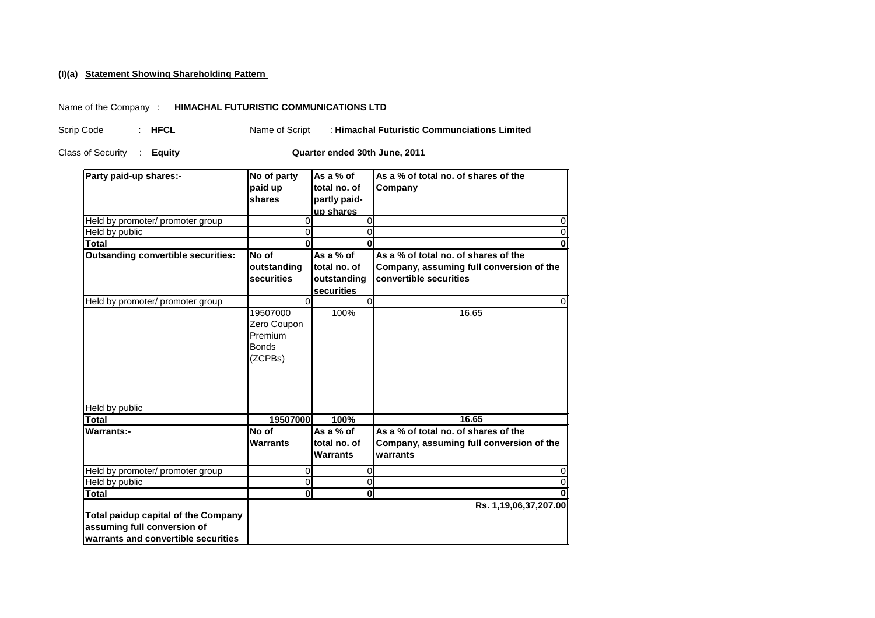## **Statement Showing Shareholding Pattern (I)(a)**

## Name of the Company : **HIMACHAL FUTURISTIC COMMUNICATIONS LTD**

Name of Script : **Himachal Futuristic Communciations Limited** Scrip Code : **HFCL**

Class of Security : Equity **Equity Class of Security Equity Quarter ended 30th June, 2011** 

| Party paid-up shares:-                     | No of party             | As a % of        | As a % of total no. of shares of the     |
|--------------------------------------------|-------------------------|------------------|------------------------------------------|
|                                            | paid up                 | total no. of     | Company                                  |
|                                            | shares                  | partly paid-     |                                          |
|                                            |                         | up shares        |                                          |
| Held by promoter/ promoter group           | 0                       | $\mathbf 0$      | $\Omega$                                 |
| Held by public                             | $\Omega$                | $\overline{0}$   | $\Omega$                                 |
| Total                                      | $\bf{0}$                | $\Omega$         | $\bf{0}$                                 |
| <b>Outsanding convertible securities:</b>  | No of                   | As a % of        | As a % of total no. of shares of the     |
|                                            | outstanding             | total no. of     | Company, assuming full conversion of the |
|                                            | securities              | outstanding      | convertible securities                   |
|                                            |                         | securities       |                                          |
| Held by promoter/ promoter group           | $\Omega$                | $\mathbf 0$      | $\Omega$                                 |
|                                            | 19507000                | 100%             | 16.65                                    |
|                                            | Zero Coupon             |                  |                                          |
|                                            | Premium                 |                  |                                          |
|                                            | <b>Bonds</b>            |                  |                                          |
|                                            | (ZCPBs)                 |                  |                                          |
|                                            |                         |                  |                                          |
|                                            |                         |                  |                                          |
|                                            |                         |                  |                                          |
| Held by public                             |                         |                  |                                          |
| Total                                      | 19507000                | 100%             | 16.65                                    |
| <b>Warrants:-</b>                          | No of                   | As a % of        | As a % of total no. of shares of the     |
|                                            | <b>Warrants</b>         | total no. of     | Company, assuming full conversion of the |
|                                            |                         | <b>Warrants</b>  | warrants                                 |
|                                            |                         |                  |                                          |
| Held by promoter/ promoter group           | 0                       | $\boldsymbol{0}$ | 0                                        |
| Held by public                             | $\pmb{0}$               | $\boldsymbol{0}$ | 0                                        |
| Total                                      | $\overline{\mathbf{0}}$ | $\mathbf 0$      |                                          |
|                                            |                         |                  | Rs. 1,19,06,37,207.00                    |
| <b>Total paidup capital of the Company</b> |                         |                  |                                          |
| assuming full conversion of                |                         |                  |                                          |
| warrants and convertible securities        |                         |                  |                                          |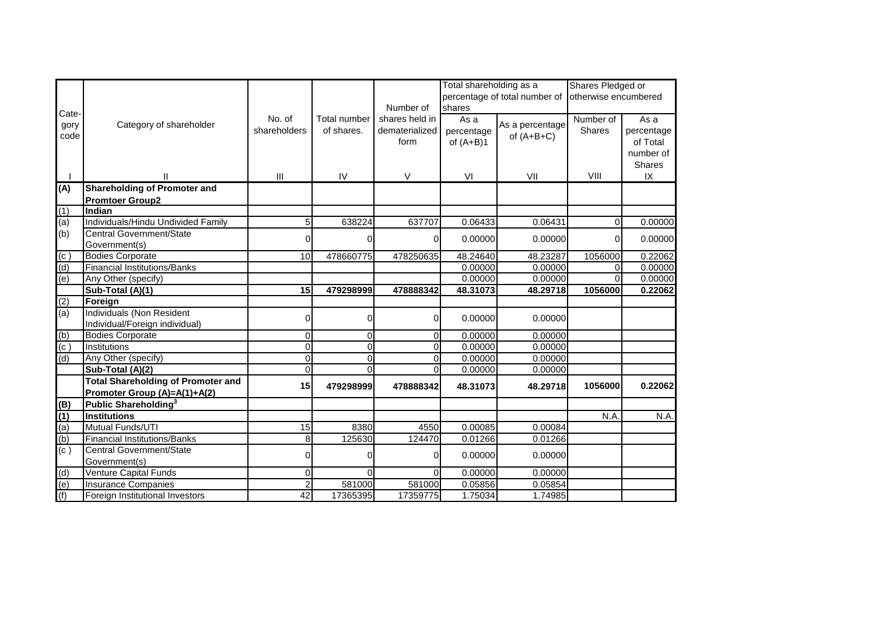|                             |                                           |                |                |                | Total shareholding as a |                               | Shares Pledged or    |               |  |
|-----------------------------|-------------------------------------------|----------------|----------------|----------------|-------------------------|-------------------------------|----------------------|---------------|--|
|                             |                                           |                |                |                |                         | percentage of total number of | otherwise encumbered |               |  |
| Cate-                       |                                           |                |                | Number of      | shares                  |                               |                      |               |  |
| gory                        | Category of shareholder                   | No. of         | Total number   | shares held in | As a                    | As a percentage               | Number of            | As a          |  |
| code                        |                                           | shareholders   | of shares.     | dematerialized | percentage              | of $(A+B+C)$                  | <b>Shares</b>        | percentage    |  |
|                             |                                           |                |                | form           | of $(A+B)1$             |                               |                      | of Total      |  |
|                             |                                           |                |                |                |                         |                               |                      | number of     |  |
|                             |                                           |                |                |                |                         |                               |                      | <b>Shares</b> |  |
|                             | $\mathsf{I}$                              | $\mathbf{III}$ | IV             | $\vee$         | VI                      | VII                           | VIII                 | IX            |  |
| (A)                         | <b>Shareholding of Promoter and</b>       |                |                |                |                         |                               |                      |               |  |
|                             | <b>Promtoer Group2</b>                    |                |                |                |                         |                               |                      |               |  |
| (1)                         | Indian                                    |                |                |                |                         |                               |                      |               |  |
| (a)                         | Individuals/Hindu Undivided Family        | 5 <sup>1</sup> | 638224         | 637707         | 0.06433                 | 0.06431                       | $\Omega$             | 0.00000       |  |
| (b)                         | Central Government/State                  | $\Omega$       | 0              | 0              | 0.00000                 | 0.00000                       | $\Omega$             | 0.00000       |  |
|                             | Government(s)                             |                |                |                |                         |                               |                      |               |  |
| (c)                         | <b>Bodies Corporate</b>                   | 10             | 478660775      | 478250635      | 48.24640                | 48.23287                      | 1056000              | 0.22062       |  |
| $\overline{d}$              | <b>Financial Institutions/Banks</b>       |                |                |                | 0.00000                 | 0.00000                       | $\Omega$             | 0.00000       |  |
| $\overline{e}$              | Any Other (specify)                       |                |                |                | 0.00000                 | 0.00000                       | $\Omega$             | 0.00000       |  |
|                             | Sub-Total (A)(1)                          | 15             | 479298999      | 478888342      | 48.31073                | 48.29718                      | 1056000              | 0.22062       |  |
| (2)                         | Foreign                                   |                |                |                |                         |                               |                      |               |  |
| (a)                         | <b>Individuals (Non Resident</b>          | $\overline{0}$ | 0              | 0              | 0.00000                 | 0.00000                       |                      |               |  |
|                             | Individual/Foreign individual)            |                |                |                |                         |                               |                      |               |  |
| (b)                         | <b>Bodies Corporate</b>                   | $\overline{0}$ | $\overline{0}$ | $\Omega$       | 0.00000                 | 0.00000                       |                      |               |  |
| $\overline{(\mathsf{c}\,)}$ | Institutions                              | $\overline{0}$ | $\overline{0}$ | $\overline{0}$ | 0.00000                 | 0.00000                       |                      |               |  |
| $\overline{d}$              | Any Other (specify)                       | $\overline{0}$ | $\Omega$       | $\Omega$       | 0.00000                 | 0.00000                       |                      |               |  |
|                             | Sub-Total (A)(2)                          | $\overline{0}$ | $\Omega$       | $\Omega$       | 0.00000                 | 0.00000                       |                      |               |  |
|                             | <b>Total Shareholding of Promoter and</b> | 15             | 479298999      | 478888342      | 48.31073                | 48.29718                      | 1056000              | 0.22062       |  |
|                             | Promoter Group (A)=A(1)+A(2)              |                |                |                |                         |                               |                      |               |  |
| (B)                         | Public Shareholding <sup>3</sup>          |                |                |                |                         |                               |                      |               |  |
| $\overline{(1)}$            | <b>Institutions</b>                       |                |                |                |                         |                               | N.A                  | N.A.          |  |
| $\overline{a}$              | Mutual Funds/UTI                          | 15             | 8380           | 4550           | 0.00085                 | 0.00084                       |                      |               |  |
| $\overline{(b)}$            | <b>Financial Institutions/Banks</b>       | 8 <sup>1</sup> | 125630         | 124470         | 0.01266                 | 0.01266                       |                      |               |  |
| $\overline{(\mathsf{c}\,)}$ | Central Government/State                  | $\overline{0}$ | 0              | $\Omega$       | 0.00000                 | 0.00000                       |                      |               |  |
|                             | Government(s)                             |                |                |                |                         |                               |                      |               |  |
| (d)                         | Venture Capital Funds                     | 0              | $\Omega$       | $\Omega$       | 0.00000                 | 0.00000                       |                      |               |  |
| $\overline{e}$              | <b>Insurance Companies</b>                | $\overline{2}$ | 581000         | 581000         | 0.05856                 | 0.05854                       |                      |               |  |
| (f)                         | Foreign Institutional Investors           | 42             | 17365395       | 17359775       | 1.75034                 | 1.74985                       |                      |               |  |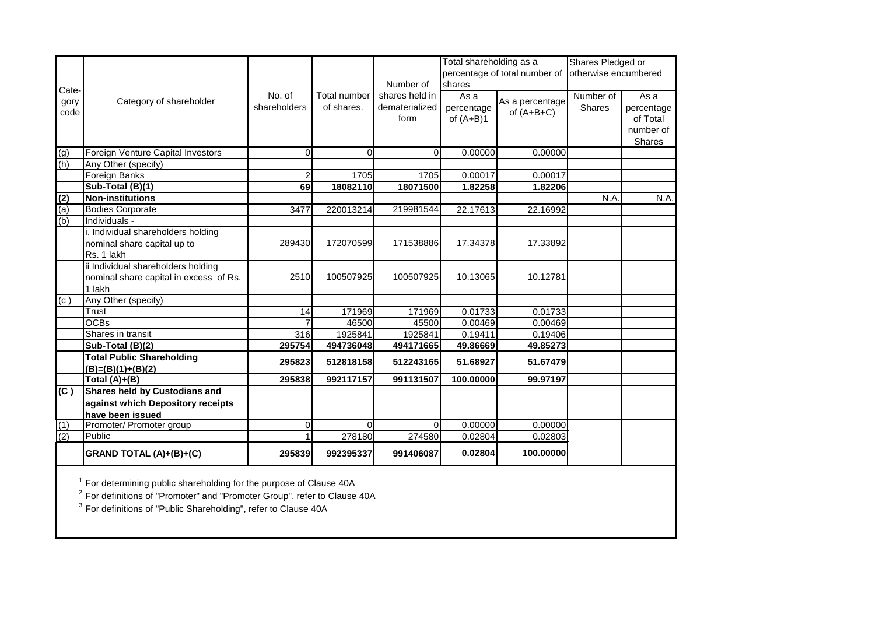| Cate- |                                        |                |                     |                | Total shareholding as a |                               | Shares Pledged or    |               |  |
|-------|----------------------------------------|----------------|---------------------|----------------|-------------------------|-------------------------------|----------------------|---------------|--|
|       |                                        |                |                     |                |                         | percentage of total number of | otherwise encumbered |               |  |
|       |                                        |                |                     | Number of      | shares                  |                               |                      |               |  |
|       |                                        | No. of         | <b>Total number</b> | shares held in | As a                    |                               | Number of            | As a          |  |
| gory  | Category of shareholder                | shareholders   | of shares.          | dematerialized | percentage              | As a percentage               | <b>Shares</b>        | percentage    |  |
| code  |                                        |                |                     | form           | of $(A+B)1$             | of $(A+B+C)$                  |                      | of Total      |  |
|       |                                        |                |                     |                |                         |                               |                      | number of     |  |
|       |                                        |                |                     |                |                         |                               |                      | <b>Shares</b> |  |
| (g)   | Foreign Venture Capital Investors      | $\overline{0}$ | 0                   | $\Omega$       | 0.00000                 | 0.00000                       |                      |               |  |
| (h)   | Any Other (specify)                    |                |                     |                |                         |                               |                      |               |  |
|       | Foreign Banks                          | $\overline{2}$ | 1705                | 1705           | 0.00017                 | 0.00017                       |                      |               |  |
|       | Sub-Total (B)(1)                       | 69             | 18082110            | 18071500       | 1.82258                 | 1.82206                       |                      |               |  |
| (2)   | <b>Non-institutions</b>                |                |                     |                |                         |                               | N.A.                 | N.A.          |  |
| (a)   | <b>Bodies Corporate</b>                | 3477           | 220013214           | 219981544      | 22.17613                | 22.16992                      |                      |               |  |
| (b)   | Individuals -                          |                |                     |                |                         |                               |                      |               |  |
|       | i. Individual shareholders holding     |                |                     |                |                         |                               |                      |               |  |
|       | nominal share capital up to            | 289430         | 172070599           | 171538886      | 17.34378                | 17.33892                      |                      |               |  |
|       | Rs. 1 lakh                             |                |                     |                |                         |                               |                      |               |  |
|       | ii Individual shareholders holding     |                |                     |                |                         |                               |                      |               |  |
|       | nominal share capital in excess of Rs. | 2510           | 100507925           | 100507925      | 10.13065                | 10.12781                      |                      |               |  |
|       | 1 lakh                                 |                |                     |                |                         |                               |                      |               |  |
| (c)   | Any Other (specify)                    |                |                     |                |                         |                               |                      |               |  |
|       | Trust                                  | 14             | 171969              | 171969         | 0.01733                 | 0.01733                       |                      |               |  |
|       | <b>OCBs</b>                            |                | 46500               | 45500          | 0.00469                 | 0.00469                       |                      |               |  |
|       | Shares in transit                      | 316            | 1925841             | 1925841        | 0.19411                 | 0.19406                       |                      |               |  |
|       | Sub-Total (B)(2)                       | 295754         | 494736048           | 494171665      | 49.86669                | 49.85273                      |                      |               |  |
|       | <b>Total Public Shareholding</b>       | 295823         | 512818158           | 512243165      | 51.68927                | 51.67479                      |                      |               |  |
|       | $(B)=(B)(1)+(B)(2)$                    |                |                     |                |                         |                               |                      |               |  |
|       | Total $(A)+(B)$                        | 295838         | 992117157           | 991131507      | 100.00000               | 99.97197                      |                      |               |  |
| (C)   | <b>Shares held by Custodians and</b>   |                |                     |                |                         |                               |                      |               |  |
|       | against which Depository receipts      |                |                     |                |                         |                               |                      |               |  |
|       | have been issued                       |                |                     |                |                         |                               |                      |               |  |
| (1)   | Promoter/ Promoter group               | 0              | $\Omega$            | $\Omega$       | 0.00000                 | 0.00000                       |                      |               |  |
| (2)   | Public                                 | 1              | 278180              | 274580         | 0.02804                 | 0.02803                       |                      |               |  |
|       | GRAND TOTAL (A)+(B)+(C)                | 295839         | 992395337           | 991406087      | 0.02804                 | 100.00000                     |                      |               |  |

 $1$  For determining public shareholding for the purpose of Clause 40A

 $^2$  For definitions of "Promoter" and "Promoter Group", refer to Clause 40A

 $^3$  For definitions of "Public Shareholding", refer to Clause 40A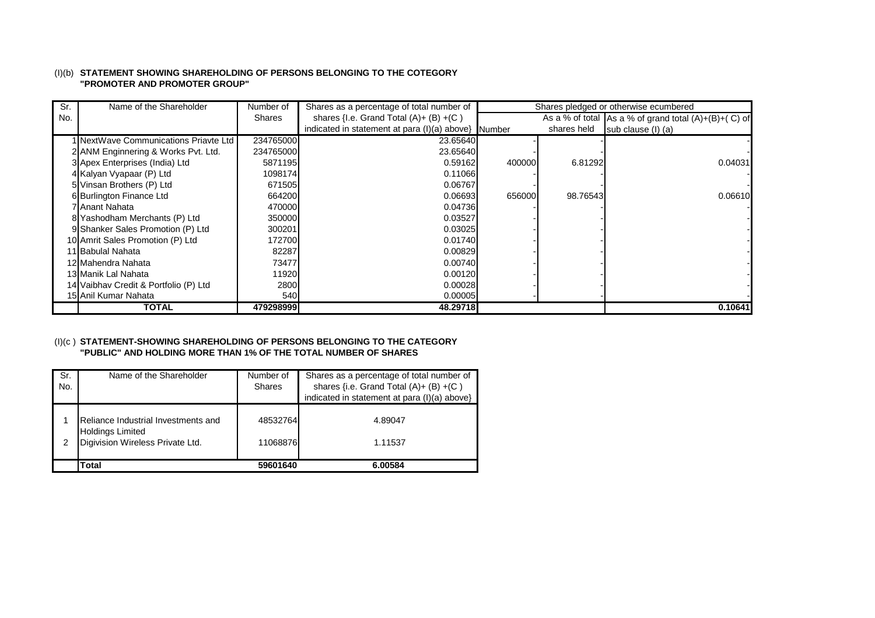### (I)(b) **STATEMENT SHOWING SHAREHOLDING OF PERSONS BELONGING TO THE COTEGORY "PROMOTER AND PROMOTER GROUP"**

| Sr. | Name of the Shareholder               | Number of     | Shares as a percentage of total number of             |        |             | Shares pledged or otherwise ecumbered                          |
|-----|---------------------------------------|---------------|-------------------------------------------------------|--------|-------------|----------------------------------------------------------------|
| No. |                                       | <b>Shares</b> | shares { $I.e.$ Grand Total $(A) + (B) + (C)$         |        |             | As a % of total $\vert$ As a % of grand total $(A)+(B)+(C)$ of |
|     |                                       |               | indicated in statement at para $(l)(a)$ above} Number |        | shares held | sub clause (I) (a)                                             |
|     | 1 NextWave Communications Priavte Ltd | 234765000     | 23.65640                                              |        |             |                                                                |
|     | 2 ANM Enginnering & Works Pvt. Ltd.   | 234765000     | 23.65640                                              |        |             |                                                                |
|     | 3 Apex Enterprises (India) Ltd        | 5871195       | 0.59162                                               | 400000 | 6.81292     | 0.04031                                                        |
|     | 4 Kalyan Vyapaar (P) Ltd              | 1098174       | 0.11066                                               |        |             |                                                                |
|     | 5 Vinsan Brothers (P) Ltd             | 671505        | 0.06767                                               |        |             |                                                                |
|     | 6 Burlington Finance Ltd              | 664200        | 0.066931                                              | 656000 | 98.76543    | 0.06610                                                        |
|     | 7 Anant Nahata                        | 470000        | 0.04736                                               |        |             |                                                                |
|     | 8 Yashodham Merchants (P) Ltd         | 350000        | 0.03527                                               |        |             |                                                                |
|     | 9 Shanker Sales Promotion (P) Ltd     | 300201        | 0.03025                                               |        |             |                                                                |
|     | 10 Amrit Sales Promotion (P) Ltd      | 172700        | 0.01740                                               |        |             |                                                                |
|     | 11 Babulal Nahata                     | 82287         | 0.00829                                               |        |             |                                                                |
|     | 12 Mahendra Nahata                    | 73477         | 0.00740                                               |        |             |                                                                |
|     | 13 Manik Lal Nahata                   | 11920         | 0.00120                                               |        |             |                                                                |
|     | 14 Vaibhav Credit & Portfolio (P) Ltd | 2800          | 0.00028                                               |        |             |                                                                |
|     | 15 Anil Kumar Nahata                  | 540           | 0.00005                                               |        |             |                                                                |
|     | <b>TOTAL</b>                          | 479298999     | 48.29718                                              |        |             | 0.10641                                                        |

## (I)(c ) **STATEMENT-SHOWING SHAREHOLDING OF PERSONS BELONGING TO THE CATEGORY "PUBLIC" AND HOLDING MORE THAN 1% OF THE TOTAL NUMBER OF SHARES**

| Sr. | Name of the Shareholder             | Number of     | Shares as a percentage of total number of    |
|-----|-------------------------------------|---------------|----------------------------------------------|
| No. |                                     | <b>Shares</b> | shares {i.e. Grand Total $(A) + (B) + (C)$   |
|     |                                     |               | indicated in statement at para (I)(a) above} |
|     |                                     |               |                                              |
|     | Reliance Industrial Investments and | 48532764      | 4.89047                                      |
|     | <b>Holdings Limited</b>             |               |                                              |
| 2   | Digivision Wireless Private Ltd.    | 11068876      | 1.11537                                      |
|     |                                     |               |                                              |
|     | Total                               | 59601640      | 6.00584                                      |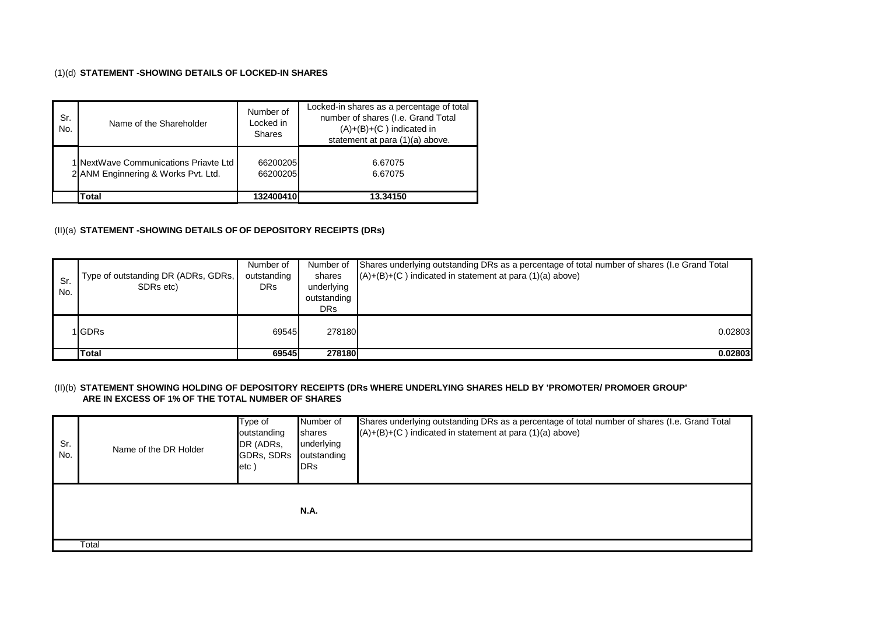### (1)(d) **STATEMENT -SHOWING DETAILS OF LOCKED-IN SHARES**

| Sr.<br>No. | Name of the Shareholder                                                      | Number of<br>Locked in<br>Shares | Locked-in shares as a percentage of total<br>number of shares (I.e. Grand Total<br>$(A)+(B)+(C)$ indicated in<br>statement at para (1)(a) above. |  |  |
|------------|------------------------------------------------------------------------------|----------------------------------|--------------------------------------------------------------------------------------------------------------------------------------------------|--|--|
|            | 1 NextWave Communications Priavte Ltd<br>2 ANM Enginnering & Works Pvt. Ltd. | 66200205<br>66200205             | 6.67075<br>6.67075                                                                                                                               |  |  |
|            | Total                                                                        | 132400410                        | 13.34150                                                                                                                                         |  |  |

# (II)(a) **STATEMENT -SHOWING DETAILS OF OF DEPOSITORY RECEIPTS (DRs)**

| Sr.<br>No. | Type of outstanding DR (ADRs, GDRs,  <br>SDRs etc) | Number of<br>outstanding<br><b>DRs</b> | Number of<br>shares<br>underlying<br>outstanding<br>DRs | Shares underlying outstanding DRs as a percentage of total number of shares (I.e Grand Total<br>$(A)+(B)+(C)$ indicated in statement at para $(1)(a)$ above) |
|------------|----------------------------------------------------|----------------------------------------|---------------------------------------------------------|--------------------------------------------------------------------------------------------------------------------------------------------------------------|
|            | <b>IGDRs</b>                                       | 69545                                  | 278180                                                  | 0.02803                                                                                                                                                      |
|            | <b>Total</b>                                       | 69545                                  | 278180                                                  | 0.02803                                                                                                                                                      |

#### (II)(b) **STATEMENT SHOWING HOLDING OF DEPOSITORY RECEIPTS (DRs WHERE UNDERLYING SHARES HELD BY 'PROMOTER/ PROMOER GROUP' ARE IN EXCESS OF 1% OF THE TOTAL NUMBER OF SHARES**

| Sr.<br>No. | Name of the DR Holder | Type of<br>outstanding<br>DR (ADRs,<br>GDRs, SDRs<br>$ $ etc $ $ | Number of<br>shares<br>underlying<br>outstanding<br><b>DRs</b> | Shares underlying outstanding DRs as a percentage of total number of shares (I.e. Grand Total<br>$(A)+(B)+(C)$ indicated in statement at para $(1)(a)$ above) |
|------------|-----------------------|------------------------------------------------------------------|----------------------------------------------------------------|---------------------------------------------------------------------------------------------------------------------------------------------------------------|
|            |                       |                                                                  | <b>N.A.</b>                                                    |                                                                                                                                                               |
|            | Total                 |                                                                  |                                                                |                                                                                                                                                               |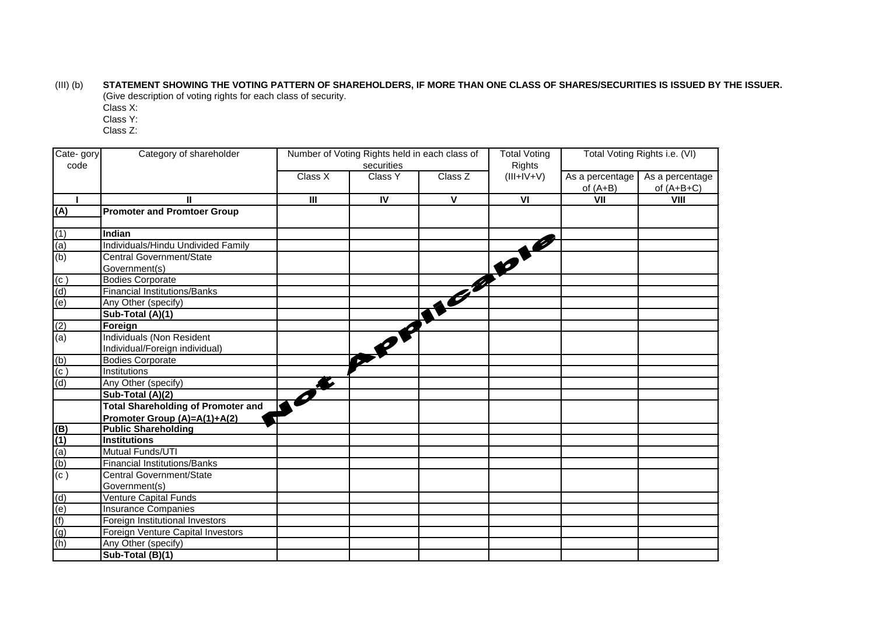(III) (b) **STATEMENT SHOWING THE VOTING PATTERN OF SHAREHOLDERS, IF MORE THAN ONE CLASS OF SHARES/SECURITIES IS ISSUED BY THE ISSUER.** (Give description of voting rights for each class of security.

Class X:

Class Y:

Class Z:

| Cate-gory                           | Category of shareholder<br>Number of Voting Rights held in each class of |                |                |              | <b>Total Voting</b>     | Total Voting Rights i.e. (VI) |                 |
|-------------------------------------|--------------------------------------------------------------------------|----------------|----------------|--------------|-------------------------|-------------------------------|-----------------|
| code                                |                                                                          |                | securities     |              | <b>Rights</b>           |                               |                 |
|                                     |                                                                          | Class X        | <b>Class Y</b> | Class Z      | $(III+IV+V)$            | As a percentage $\vert$       | As a percentage |
|                                     |                                                                          |                |                |              |                         | of $(A+B)$                    | of $(A+B+C)$    |
|                                     |                                                                          | $\mathbf{III}$ | $\mathsf{IV}$  | $\mathbf{V}$ | $\overline{\mathsf{v}}$ | VII                           | <b>VIII</b>     |
| (A)                                 | <b>Promoter and Promtoer Group</b>                                       |                |                |              |                         |                               |                 |
|                                     | Indian                                                                   |                |                |              |                         |                               |                 |
| (1)                                 | Individuals/Hindu Undivided Family                                       |                |                |              |                         |                               |                 |
| $\frac{a}{b}$                       | Central Government/State                                                 |                |                |              |                         |                               |                 |
|                                     |                                                                          |                |                |              |                         |                               |                 |
|                                     | Government(s)<br><b>Bodies Corporate</b>                                 |                |                |              |                         |                               |                 |
| $\frac{(c)}{(d)}$                   | <b>Financial Institutions/Banks</b>                                      |                |                | The Company  |                         |                               |                 |
|                                     | Any Other (specify)                                                      |                |                |              |                         |                               |                 |
|                                     | Sub-Total (A)(1)                                                         |                |                |              |                         |                               |                 |
|                                     | Foreign                                                                  |                |                |              |                         |                               |                 |
| $\frac{(2)}{(a)}$                   | <b>Individuals (Non Resident</b>                                         |                |                |              |                         |                               |                 |
|                                     | Individual/Foreign individual)                                           |                |                |              |                         |                               |                 |
|                                     | <b>Bodies Corporate</b>                                                  |                |                |              |                         |                               |                 |
| $\frac{(b)}{(c)}$                   | Institutions                                                             |                |                |              |                         |                               |                 |
| $\overline{d}$                      | Any Other (specify)                                                      |                |                |              |                         |                               |                 |
|                                     | Sub-Total (A)(2)                                                         |                |                |              |                         |                               |                 |
|                                     | <b>Total Shareholding of Promoter and</b>                                |                |                |              |                         |                               |                 |
|                                     | Promoter Group (A)=A(1)+A(2)                                             |                |                |              |                         |                               |                 |
|                                     | <b>Public Shareholding</b>                                               |                |                |              |                         |                               |                 |
| $\frac{(B)}{(1)}$ (a)<br>(b)<br>(c) | <b>Institutions</b>                                                      |                |                |              |                         |                               |                 |
|                                     | Mutual Funds/UTI                                                         |                |                |              |                         |                               |                 |
|                                     | <b>Financial Institutions/Banks</b>                                      |                |                |              |                         |                               |                 |
|                                     | Central Government/State                                                 |                |                |              |                         |                               |                 |
|                                     | Government(s)                                                            |                |                |              |                         |                               |                 |
|                                     | <b>Venture Capital Funds</b>                                             |                |                |              |                         |                               |                 |
|                                     | <b>Insurance Companies</b>                                               |                |                |              |                         |                               |                 |
| $\frac{(d)}{(e)}$                   | Foreign Institutional Investors                                          |                |                |              |                         |                               |                 |
| (g)                                 | <b>Foreign Venture Capital Investors</b>                                 |                |                |              |                         |                               |                 |
| (h)                                 | Any Other (specify)                                                      |                |                |              |                         |                               |                 |
|                                     | Sub-Total (B)(1)                                                         |                |                |              |                         |                               |                 |